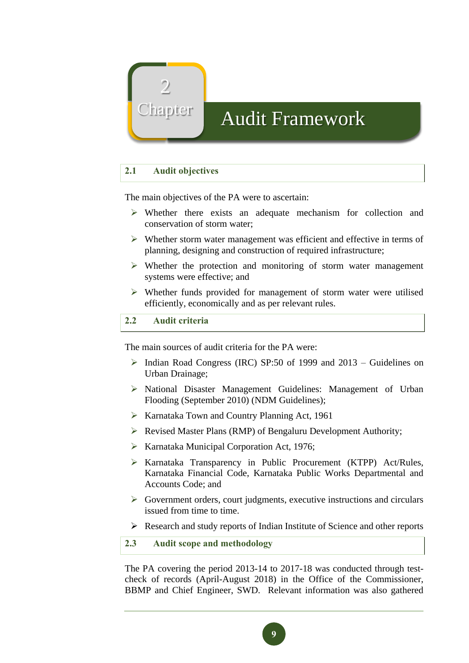

# hapter Audit Framework

## **2.1 Audit objectives**

The main objectives of the PA were to ascertain:

- ➢ Whether there exists an adequate mechanism for collection and conservation of storm water;
- ➢ Whether storm water management was efficient and effective in terms of planning, designing and construction of required infrastructure;
- ➢ Whether the protection and monitoring of storm water management systems were effective; and
- ➢ Whether funds provided for management of storm water were utilised efficiently, economically and as per relevant rules.

## **2.2 Audit criteria**

The main sources of audit criteria for the PA were:

- ➢ Indian Road Congress (IRC) SP:50 of 1999 and 2013 Guidelines on Urban Drainage;
- ➢ National Disaster Management Guidelines: Management of Urban Flooding (September 2010) (NDM Guidelines);
- ➢ Karnataka Town and Country Planning Act, 1961
- ➢ Revised Master Plans (RMP) of Bengaluru Development Authority;
- ➢ Karnataka Municipal Corporation Act, 1976;
- ➢ Karnataka Transparency in Public Procurement (KTPP) Act/Rules, Karnataka Financial Code, Karnataka Public Works Departmental and Accounts Code; and
- $\triangleright$  Government orders, court judgments, executive instructions and circulars issued from time to time.
- ➢ Research and study reports of Indian Institute of Science and other reports

**2.3 Audit scope and methodology**

The PA covering the period 2013-14 to 2017-18 was conducted through testcheck of records (April-August 2018) in the Office of the Commissioner, BBMP and Chief Engineer, SWD. Relevant information was also gathered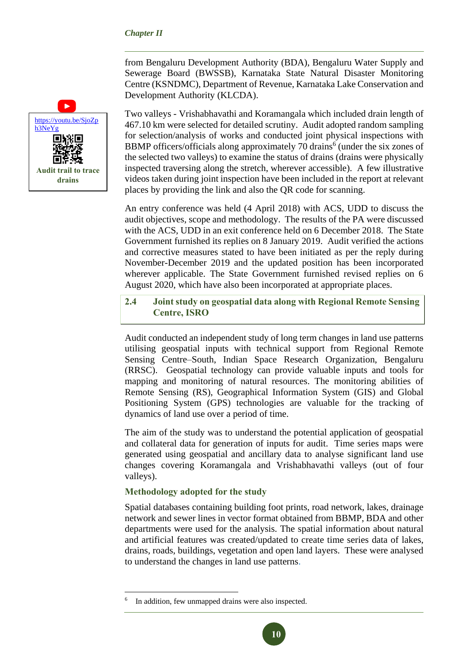from Bengaluru Development Authority (BDA), Bengaluru Water Supply and Sewerage Board (BWSSB), Karnataka State Natural Disaster Monitoring Centre (KSNDMC), Department of Revenue, Karnataka Lake Conservation and Development Authority (KLCDA).

Two valleys - Vrishabhavathi and Koramangala which included drain length of 467.10 km were selected for detailed scrutiny. Audit adopted random sampling for selection/analysis of works and conducted joint physical inspections with BBMP officers/officials along approximately 70 drains<sup>6</sup> (under the six zones of the selected two valleys) to examine the status of drains (drains were physically inspected traversing along the stretch, wherever accessible). A few illustrative videos taken during joint inspection have been included in the report at relevant places by providing the link and also the QR code for scanning.

An entry conference was held (4 April 2018) with ACS, UDD to discuss the audit objectives, scope and methodology. The results of the PA were discussed with the ACS, UDD in an exit conference held on 6 December 2018. The State Government furnished its replies on 8 January 2019. Audit verified the actions and corrective measures stated to have been initiated as per the reply during November-December 2019 and the updated position has been incorporated wherever applicable. The State Government furnished revised replies on 6 August 2020, which have also been incorporated at appropriate places.

## **2.4 Joint study on geospatial data along with Regional Remote Sensing Centre, ISRO**

Audit conducted an independent study of long term changes in land use patterns utilising geospatial inputs with technical support from Regional Remote Sensing Centre–South, Indian Space Research Organization, Bengaluru (RRSC). Geospatial technology can provide valuable inputs and tools for mapping and monitoring of natural resources. The monitoring abilities of Remote Sensing (RS), Geographical Information System (GIS) and Global Positioning System (GPS) technologies are valuable for the tracking of dynamics of land use over a period of time.

The aim of the study was to understand the potential application of geospatial and collateral data for generation of inputs for audit. Time series maps were generated using geospatial and ancillary data to analyse significant land use changes covering Koramangala and Vrishabhavathi valleys (out of four valleys).

#### **Methodology adopted for the study**

 $\overline{a}$ 

Spatial databases containing building foot prints, road network, lakes, drainage network and sewer lines in vector format obtained from BBMP, BDA and other departments were used for the analysis. The spatial information about natural and artificial features was created/updated to create time series data of lakes, drains, roads, buildings, vegetation and open land layers. These were analysed to understand the changes in land use patterns.



<sup>6</sup> In addition, few unmapped drains were also inspected.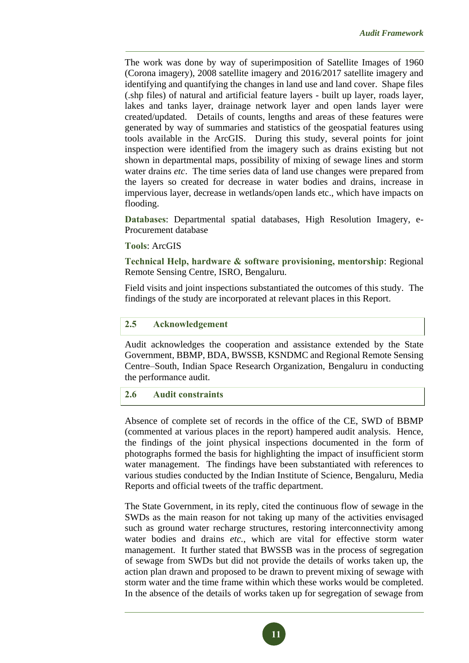The work was done by way of superimposition of Satellite Images of 1960 (Corona imagery), 2008 satellite imagery and 2016/2017 satellite imagery and identifying and quantifying the changes in land use and land cover. Shape files (.shp files) of natural and artificial feature layers - built up layer, roads layer, lakes and tanks layer, drainage network layer and open lands layer were created/updated. Details of counts, lengths and areas of these features were generated by way of summaries and statistics of the geospatial features using tools available in the ArcGIS. During this study, several points for joint inspection were identified from the imagery such as drains existing but not shown in departmental maps, possibility of mixing of sewage lines and storm water drains *etc*. The time series data of land use changes were prepared from the layers so created for decrease in water bodies and drains, increase in impervious layer, decrease in wetlands/open lands etc., which have impacts on flooding.

**Databases**: Departmental spatial databases, High Resolution Imagery, e-Procurement database

#### **Tools**: ArcGIS

**Technical Help, hardware & software provisioning, mentorship**: Regional Remote Sensing Centre, ISRO, Bengaluru.

Field visits and joint inspections substantiated the outcomes of this study. The findings of the study are incorporated at relevant places in this Report.

## **2.5 Acknowledgement**

Audit acknowledges the cooperation and assistance extended by the State Government, BBMP, BDA, BWSSB, KSNDMC and Regional Remote Sensing Centre–South, Indian Space Research Organization, Bengaluru in conducting the performance audit.

## **2.6 Audit constraints**

Absence of complete set of records in the office of the CE, SWD of BBMP (commented at various places in the report) hampered audit analysis. Hence, the findings of the joint physical inspections documented in the form of photographs formed the basis for highlighting the impact of insufficient storm water management. The findings have been substantiated with references to various studies conducted by the Indian Institute of Science, Bengaluru, Media Reports and official tweets of the traffic department.

The State Government, in its reply, cited the continuous flow of sewage in the SWDs as the main reason for not taking up many of the activities envisaged such as ground water recharge structures, restoring interconnectivity among water bodies and drains *etc.*, which are vital for effective storm water management. It further stated that BWSSB was in the process of segregation of sewage from SWDs but did not provide the details of works taken up, the action plan drawn and proposed to be drawn to prevent mixing of sewage with storm water and the time frame within which these works would be completed. In the absence of the details of works taken up for segregation of sewage from